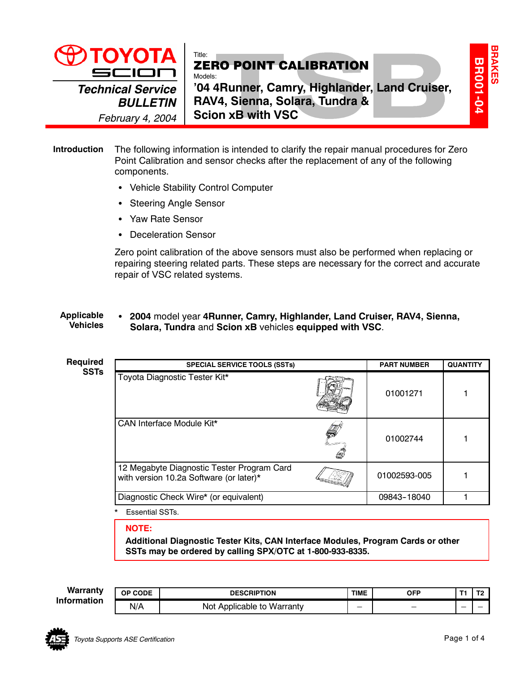

## Title: ZERO POINT CALIBRATION Models:

**'04 4Runner, Camry, Highlander, Land Cruiser, RAV4, Sienna, Solara, Tundra & Scion xB with VSC**

## The following information is intended to clarify the repair manual procedures for Zero Point Calibration and sensor checks after the replacement of any of the following components. **Introduction**

- Vehicle Stability Control Computer
- Steering Angle Sensor
- Yaw Rate Sensor
- Deceleration Sensor

Zero point calibration of the above sensors must also be performed when replacing or repairing steering related parts. These steps are necessary for the correct and accurate repair of VSC related systems.

### **• 2004** model year 4 Runner, Camry, Highlander, Land Cruiser, RAV4, Sienna, **Solara, Tundra** and **Scion xB** vehicles **equipped with VSC**. **Applicable Vehicles**

| <b>Required</b><br><b>SSTs</b> | <b>SPECIAL SERVICE TOOLS (SSTs)</b>                                                   |   | <b>PART NUMBER</b> | <b>QUANTITY</b> |
|--------------------------------|---------------------------------------------------------------------------------------|---|--------------------|-----------------|
|                                | Toyota Diagnostic Tester Kit*                                                         |   | 01001271           |                 |
|                                | CAN Interface Module Kit*                                                             | Q | 01002744           |                 |
|                                | 12 Megabyte Diagnostic Tester Program Card<br>with version 10.2a Software (or later)* |   | 01002593-005       |                 |
|                                | Diagnostic Check Wire* (or equivalent)                                                |   | 09843-18040        |                 |

**Essential SSTs.** 

**NOTE:**

**Additional Diagnostic Tester Kits, CAN Interface Modules, Program Cards or other SSTs may be ordered by calling SPX/OTC at 1-800-933-8335.**

**Warranty Information** 

| v | <b>CODE</b><br>ΟP | <b>DESCRIPTION</b>              | <b>TIME</b> | OFP |   |  |
|---|-------------------|---------------------------------|-------------|-----|---|--|
| n | N/A               | Not<br>. Applicable to Warranty | -           | _   | _ |  |



**BR001-04**

**BR001-04** 

**BRAKES**

**BRAKES**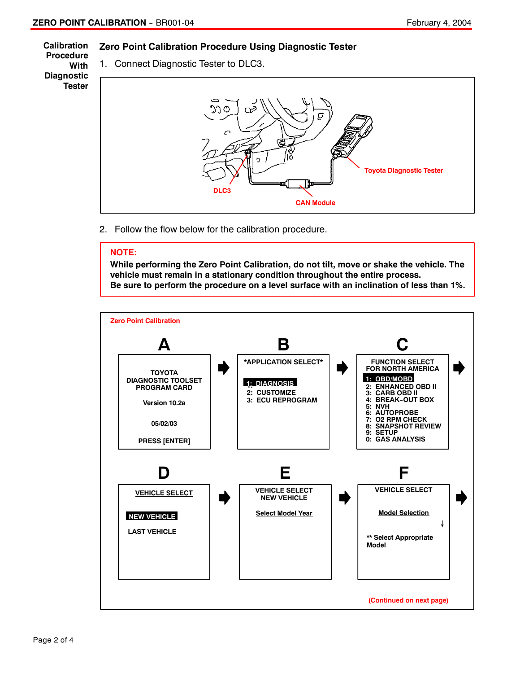#### **Zero Point Calibration Procedure Using Diagnostic Tester Calibration**

**Procedure With Diagnostic Tester**

1. Connect Diagnostic Tester to DLC3.



2. Follow the flow below for the calibration procedure.

# **NOTE:**

**While performing the Zero Point Calibration, do not tilt, move or shake the vehicle. The vehicle must remain in a stationary condition throughout the entire process. Be sure to perform the procedure on a level surface with an inclination of less than 1%.**

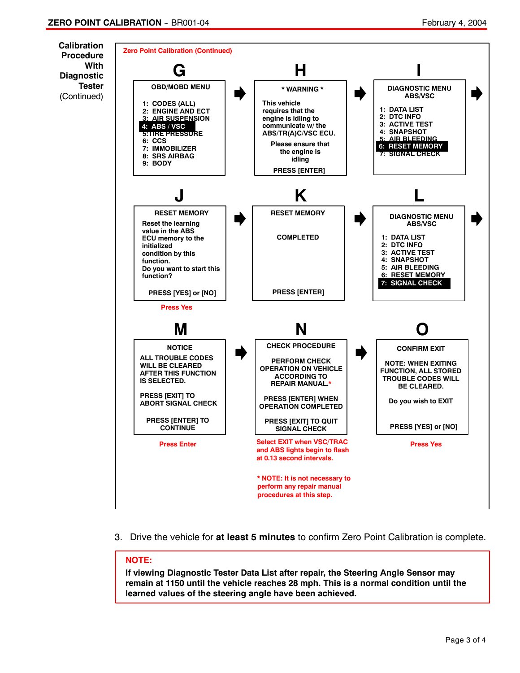

3. Drive the vehicle for **at least 5 minutes** to confirm Zero Point Calibration is complete.

# **NOTE:**

**If viewing Diagnostic Tester Data List after repair, the Steering Angle Sensor may remain at 1150 until the vehicle reaches 28 mph. This is a normal condition until the learned values of the steering angle have been achieved.**